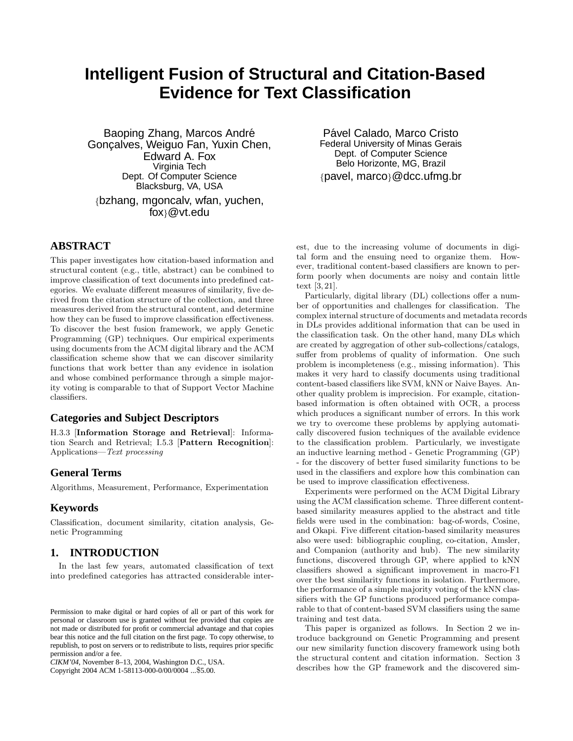# **Intelligent Fusion of Structural and Citation-Based Evidence for Text Classification**

Baoping Zhang, Marcos André Gonçalves, Weiguo Fan, Yuxin Chen, Edward A. Fox Virginia Tech Dept. Of Computer Science Blacksburg, VA, USA {bzhang, mgoncalv, wfan, yuchen,

fox}@vt.edu

# **ABSTRACT**

This paper investigates how citation-based information and structural content (e.g., title, abstract) can be combined to improve classification of text documents into predefined categories. We evaluate different measures of similarity, five derived from the citation structure of the collection, and three measures derived from the structural content, and determine how they can be fused to improve classification effectiveness. To discover the best fusion framework, we apply Genetic Programming (GP) techniques. Our empirical experiments using documents from the ACM digital library and the ACM classification scheme show that we can discover similarity functions that work better than any evidence in isolation and whose combined performance through a simple majority voting is comparable to that of Support Vector Machine classifiers.

# **Categories and Subject Descriptors**

H.3.3 [Information Storage and Retrieval]: Information Search and Retrieval; I.5.3 [Pattern Recognition]: Applications—Text processing

# **General Terms**

Algorithms, Measurement, Performance, Experimentation

# **Keywords**

Classification, document similarity, citation analysis, Genetic Programming

# **1. INTRODUCTION**

In the last few years, automated classification of text into predefined categories has attracted considerable inter-

Copyright 2004 ACM 1-58113-000-0/00/0004 ...\$5.00.

Pável Calado, Marco Cristo Federal University of Minas Gerais Dept. of Computer Science Belo Horizonte, MG, Brazil {pavel, marco}@dcc.ufmg.br

est, due to the increasing volume of documents in digital form and the ensuing need to organize them. However, traditional content-based classifiers are known to perform poorly when documents are noisy and contain little text [3, 21].

Particularly, digital library (DL) collections offer a number of opportunities and challenges for classification. The complex internal structure of documents and metadata records in DLs provides additional information that can be used in the classification task. On the other hand, many DLs which are created by aggregation of other sub-collections/catalogs, suffer from problems of quality of information. One such problem is incompleteness (e.g., missing information). This makes it very hard to classify documents using traditional content-based classifiers like SVM, kNN or Naive Bayes. Another quality problem is imprecision. For example, citationbased information is often obtained with OCR, a process which produces a significant number of errors. In this work we try to overcome these problems by applying automatically discovered fusion techniques of the available evidence to the classification problem. Particularly, we investigate an inductive learning method - Genetic Programming (GP) - for the discovery of better fused similarity functions to be used in the classifiers and explore how this combination can be used to improve classification effectiveness.

Experiments were performed on the ACM Digital Library using the ACM classification scheme. Three different contentbased similarity measures applied to the abstract and title fields were used in the combination: bag-of-words, Cosine, and Okapi. Five different citation-based similarity measures also were used: bibliographic coupling, co-citation, Amsler, and Companion (authority and hub). The new similarity functions, discovered through GP, where applied to kNN classifiers showed a significant improvement in macro-F1 over the best similarity functions in isolation. Furthermore, the performance of a simple majority voting of the kNN classifiers with the GP functions produced performance comparable to that of content-based SVM classifiers using the same training and test data.

This paper is organized as follows. In Section 2 we introduce background on Genetic Programming and present our new similarity function discovery framework using both the structural content and citation information. Section 3 describes how the GP framework and the discovered sim-

Permission to make digital or hard copies of all or part of this work for personal or classroom use is granted without fee provided that copies are not made or distributed for profit or commercial advantage and that copies bear this notice and the full citation on the first page. To copy otherwise, to republish, to post on servers or to redistribute to lists, requires prior specific permission and/or a fee.

*CIKM'04,* November 8–13, 2004, Washington D.C., USA.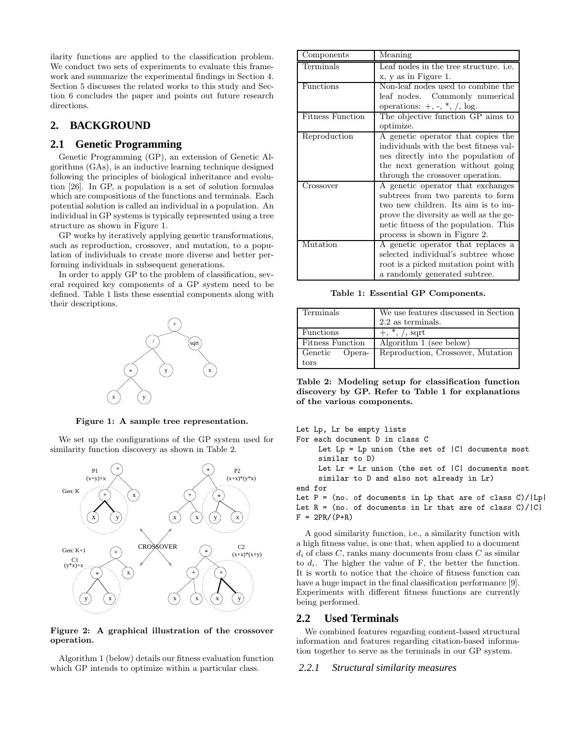ilarity functions are applied to the classification problem. We conduct two sets of experiments to evaluate this framework and summarize the experimental findings in Section 4. Section 5 discusses the related works to this study and Section 6 concludes the paper and points out future research directions.

# **2. BACKGROUND**

# **2.1 Genetic Programming**

Genetic Programming (GP), an extension of Genetic Algorithms (GAs), is an inductive learning technique designed following the principles of biological inheritance and evolution [26]. In GP, a population is a set of solution formulas which are compositions of the functions and terminals. Each potential solution is called an individual in a population. An individual in GP systems is typically represented using a tree structure as shown in Figure 1.

GP works by iteratively applying genetic transformations, such as reproduction, crossover, and mutation, to a population of individuals to create more diverse and better performing individuals in subsequent generations.

In order to apply GP to the problem of classification, several required key components of a GP system need to be defined. Table 1 lists these essential components along with their descriptions.



Figure 1: A sample tree representation.

We set up the configurations of the GP system used for similarity function discovery as shown in Table 2.



#### Figure 2: A graphical illustration of the crossover operation.

Algorithm 1 (below) details our fitness evaluation function which GP intends to optimize within a particular class.

| Components              | Meaning                                       |
|-------------------------|-----------------------------------------------|
| Terminals               | Leaf nodes in the tree structure. <i>i.e.</i> |
|                         | x, y as in Figure 1.                          |
| Functions               | Non-leaf nodes used to combine the            |
|                         | leaf nodes. Commonly numerical                |
|                         | operations: $+$ , $-$ , $*$ , $/$ , log.      |
| <b>Fitness Function</b> | The objective function GP aims to             |
|                         | optimize.                                     |
| Reproduction            | A genetic operator that copies the            |
|                         | individuals with the best fitness val-        |
|                         | ues directly into the population of           |
|                         | the next generation without going             |
|                         | through the crossover operation.              |
| Crossover               | A genetic operator that exchanges             |
|                         | subtrees from two parents to form             |
|                         | two new children. Its aim is to im-           |
|                         | prove the diversity as well as the ge-        |
|                         | netic fitness of the population. This         |
|                         | process is shown in Figure 2.                 |
| Mutation                | A genetic operator that replaces a            |
|                         | selected individual's subtree whose           |
|                         | root is a picked mutation point with          |
|                         | a randomly generated subtree.                 |

Table 1: Essential GP Components.

| Terminals               | We use features discussed in Section<br>$2.2$ as terminals. |  |
|-------------------------|-------------------------------------------------------------|--|
| <b>Functions</b>        | $+, *, /,$ sqrt                                             |  |
| <b>Fitness Function</b> | Algorithm 1 (see below)                                     |  |
| Genetic Opera-          | Reproduction, Crossover, Mutation                           |  |
| tors                    |                                                             |  |

Table 2: Modeling setup for classification function discovery by GP. Refer to Table 1 for explanations of the various components.

```
Let Lp, Lr be empty lists
For each document D in class C
     Let Lp = Lp union (the set of |C| documents most
     similar to D)
     Let Lr = Lr union (the set of |C| documents most
     similar to D and also not already in Lr)
end for
Let P = (no. of documents in Lp that are of class C)/|Lp|Let R = (no. of documents in Lr that are of class C)/|C|F = 2PR/(P+R)
```
A good similarity function, i.e., a similarity function with a high fitness value, is one that, when applied to a document  $d_i$  of class C, ranks many documents from class C as similar to  $d_i$ . The higher the value of F, the better the function. It is worth to notice that the choice of fitness function can have a huge impact in the final classification performance [9]. Experiments with different fitness functions are currently being performed.

### **2.2 Used Terminals**

We combined features regarding content-based structural information and features regarding citation-based information together to serve as the terminals in our GP system.

#### *2.2.1 Structural similarity measures*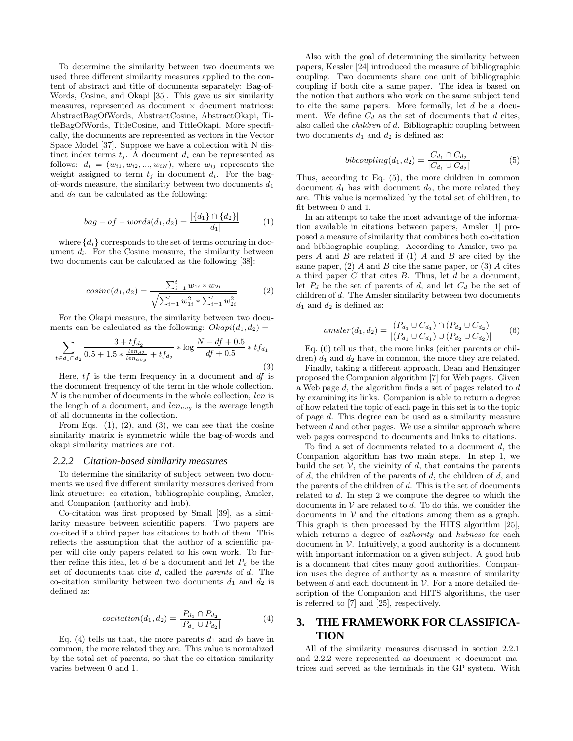To determine the similarity between two documents we used three different similarity measures applied to the content of abstract and title of documents separately: Bag-of-Words, Cosine, and Okapi [35]. This gave us six similarity measures, represented as document  $\times$  document matrices: AbstractBagOfWords, AbstractCosine, AbstractOkapi, TitleBagOfWords, TitleCosine, and TitleOkapi. More specifically, the documents are represented as vectors in the Vector Space Model [37]. Suppose we have a collection with N distinct index terms  $t_j$ . A document  $d_i$  can be represented as follows:  $d_i = (w_{i1}, w_{i2}, ..., w_{iN})$ , where  $w_{ij}$  represents the weight assigned to term  $t_j$  in document  $d_i$ . For the bagof-words measure, the similarity between two documents  $d_1$ and  $d_2$  can be calculated as the following:

$$
bag - of - words(d_1, d_2) = \frac{|\{d_1\} \cap \{d_2\}|}{|d_1|} \tag{1}
$$

where  $\{d_i\}$  corresponds to the set of terms occuring in document  $d_i$ . For the Cosine measure, the similarity between two documents can be calculated as the following [38]:

$$
cosine(d_1, d_2) = \frac{\sum_{i=1}^{t} w_{1i} * w_{2i}}{\sqrt{\sum_{i=1}^{t} w_{1i}^2 + \sum_{i=1}^{t} w_{2i}^2}}
$$
(2)

For the Okapi measure, the similarity between two documents can be calculated as the following:  $Okapi(d_1, d_2) =$ 

$$
\sum_{t \in d_1 \cap d_2} \frac{3 + tf_{d_2}}{0.5 + 1.5 * \frac{len_{d2}}{len_{avg}} + tf_{d_2}} * \log \frac{N - df + 0.5}{df + 0.5} * tf_{d_1}
$$
\n(3)

Here,  $tf$  is the term frequency in a document and  $df$  is the document frequency of the term in the whole collection.  $N$  is the number of documents in the whole collection,  $len$  is the length of a document, and  $len_{avg}$  is the average length of all documents in the collection.

From Eqs.  $(1)$ ,  $(2)$ , and  $(3)$ , we can see that the cosine similarity matrix is symmetric while the bag-of-words and okapi similarity matrices are not.

#### *2.2.2 Citation-based similarity measures*

To determine the similarity of subject between two documents we used five different similarity measures derived from link structure: co-citation, bibliographic coupling, Amsler, and Companion (authority and hub).

Co-citation was first proposed by Small [39], as a similarity measure between scientific papers. Two papers are co-cited if a third paper has citations to both of them. This reflects the assumption that the author of a scientific paper will cite only papers related to his own work. To further refine this idea, let d be a document and let  $P_d$  be the set of documents that cite  $d$ , called the *parents* of  $d$ . The co-citation similarity between two documents  $d_1$  and  $d_2$  is defined as:

$$
cocitation(d_1, d_2) = \frac{P_{d_1} \cap P_{d_2}}{|P_{d_1} \cup P_{d_2}|}
$$
(4)

Eq. (4) tells us that, the more parents  $d_1$  and  $d_2$  have in common, the more related they are. This value is normalized by the total set of parents, so that the co-citation similarity varies between 0 and 1.

Also with the goal of determining the similarity between papers, Kessler [24] introduced the measure of bibliographic coupling. Two documents share one unit of bibliographic coupling if both cite a same paper. The idea is based on the notion that authors who work on the same subject tend to cite the same papers. More formally, let d be a document. We define  $C_d$  as the set of documents that d cites, also called the children of d. Bibliographic coupling between two documents  $d_1$  and  $d_2$  is defined as:

$$
bibcoupling(d_1, d_2) = \frac{C_{d_1} \cap C_{d_2}}{|C_{d_1} \cup C_{d_2}|}
$$
(5)

Thus, according to Eq. (5), the more children in common document  $d_1$  has with document  $d_2$ , the more related they are. This value is normalized by the total set of children, to fit between 0 and 1.

In an attempt to take the most advantage of the information available in citations between papers, Amsler [1] proposed a measure of similarity that combines both co-citation and bibliographic coupling. According to Amsler, two papers  $A$  and  $B$  are related if (1)  $A$  and  $B$  are cited by the same paper,  $(2)$  A and B cite the same paper, or  $(3)$  A cites a third paper  $C$  that cites  $B$ . Thus, let  $d$  be a document, let  $P_d$  be the set of parents of d, and let  $C_d$  be the set of children of d. The Amsler similarity between two documents  $d_1$  and  $d_2$  is defined as:

$$
amsler(d_1, d_2) = \frac{(P_{d_1} \cup C_{d_1}) \cap (P_{d_2} \cup C_{d_2})}{|(P_{d_1} \cup C_{d_1}) \cup (P_{d_2} \cup C_{d_2})|} \tag{6}
$$

Eq. (6) tell us that, the more links (either parents or children)  $d_1$  and  $d_2$  have in common, the more they are related.

Finally, taking a different approach, Dean and Henzinger proposed the Companion algorithm [7] for Web pages. Given a Web page d, the algorithm finds a set of pages related to d by examining its links. Companion is able to return a degree of how related the topic of each page in this set is to the topic of page d. This degree can be used as a similarity measure between  $d$  and other pages. We use a similar approach where web pages correspond to documents and links to citations.

To find a set of documents related to a document  $d$ , the Companion algorithm has two main steps. In step 1, we build the set  $V$ , the vicinity of d, that contains the parents of d, the children of the parents of d, the children of d, and the parents of the children of  $d$ . This is the set of documents related to d. In step 2 we compute the degree to which the documents in  $V$  are related to  $d$ . To do this, we consider the documents in  $V$  and the citations among them as a graph. This graph is then processed by the HITS algorithm [25], which returns a degree of *authority* and *hubness* for each document in  $V$ . Intuitively, a good authority is a document with important information on a given subject. A good hub is a document that cites many good authorities. Companion uses the degree of authority as a measure of similarity between d and each document in  $\mathcal V$ . For a more detailed description of the Companion and HITS algorithms, the user is referred to [7] and [25], respectively.

# **3. THE FRAMEWORK FOR CLASSIFICA-TION**

All of the similarity measures discussed in section 2.2.1 and 2.2.2 were represented as document  $\times$  document matrices and served as the terminals in the GP system. With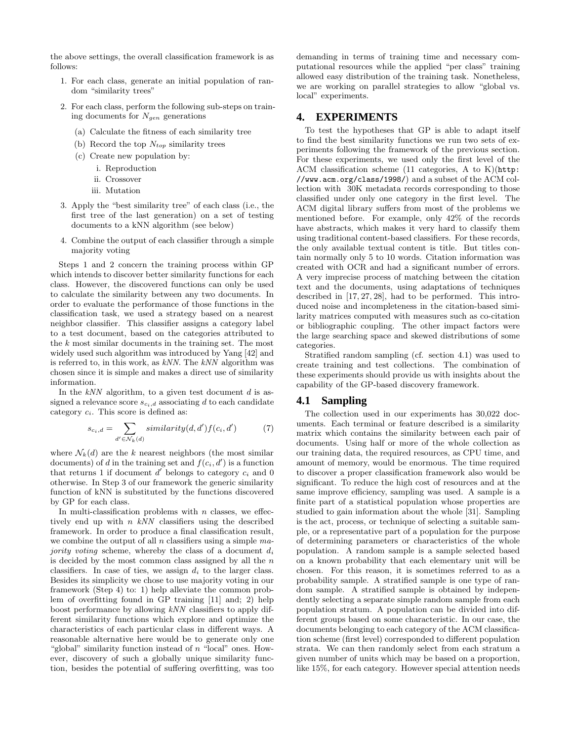the above settings, the overall classification framework is as follows:

- 1. For each class, generate an initial population of random "similarity trees"
- 2. For each class, perform the following sub-steps on training documents for  $N_{gen}$  generations
	- (a) Calculate the fitness of each similarity tree
	- (b) Record the top  $N_{top}$  similarity trees
	- (c) Create new population by:
		- i. Reproduction
		- ii. Crossover
		- iii. Mutation
- 3. Apply the "best similarity tree" of each class (i.e., the first tree of the last generation) on a set of testing documents to a kNN algorithm (see below)
- 4. Combine the output of each classifier through a simple majority voting

Steps 1 and 2 concern the training process within GP which intends to discover better similarity functions for each class. However, the discovered functions can only be used to calculate the similarity between any two documents. In order to evaluate the performance of those functions in the classification task, we used a strategy based on a nearest neighbor classifier. This classifier assigns a category label to a test document, based on the categories attributed to the k most similar documents in the training set. The most widely used such algorithm was introduced by Yang [42] and is referred to, in this work, as  $kNN$ . The  $kNN$  algorithm was chosen since it is simple and makes a direct use of similarity information.

In the  $kNN$  algorithm, to a given test document d is assigned a relevance score  $s_{c_i,d}$  associating d to each candidate category  $c_i$ . This score is defined as:

$$
s_{c_i,d} = \sum_{d' \in \mathcal{N}_k(d)} similarity(d, d')f(c_i, d')
$$
 (7)

where  $\mathcal{N}_k(d)$  are the k nearest neighbors (the most similar documents) of d in the training set and  $f(c_i, d')$  is a function that returns 1 if document  $d'$  belongs to category  $c_i$  and 0 otherwise. In Step 3 of our framework the generic similarity function of kNN is substituted by the functions discovered by GP for each class.

In multi-classification problems with  $n$  classes, we effectively end up with  $n$  kNN classifiers using the described framework. In order to produce a final classification result, we combine the output of all  $n$  classifiers using a simple  $ma$ jority voting scheme, whereby the class of a document  $d_i$ is decided by the most common class assigned by all the  $n$ classifiers. In case of ties, we assign  $d_i$  to the larger class. Besides its simplicity we chose to use majority voting in our framework (Step 4) to: 1) help alleviate the common problem of overfitting found in GP training [11] and; 2) help boost performance by allowing kNN classifiers to apply different similarity functions which explore and optimize the characteristics of each particular class in different ways. A reasonable alternative here would be to generate only one "global" similarity function instead of  $n$  "local" ones. However, discovery of such a globally unique similarity function, besides the potential of suffering overfitting, was too demanding in terms of training time and necessary computational resources while the applied "per class" training allowed easy distribution of the training task. Nonetheless, we are working on parallel strategies to allow "global vs. local" experiments.

# **4. EXPERIMENTS**

To test the hypotheses that GP is able to adapt itself to find the best similarity functions we run two sets of experiments following the framework of the previous section. For these experiments, we used only the first level of the ACM classification scheme (11 categories, A to K)(http: //www.acm.org/class/1998/) and a subset of the ACM collection with 30K metadata records corresponding to those classified under only one category in the first level. The ACM digital library suffers from most of the problems we mentioned before. For example, only 42% of the records have abstracts, which makes it very hard to classify them using traditional content-based classifiers. For these records, the only available textual content is title. But titles contain normally only 5 to 10 words. Citation information was created with OCR and had a significant number of errors. A very imprecise process of matching between the citation text and the documents, using adaptations of techniques described in [17, 27, 28], had to be performed. This introduced noise and incompleteness in the citation-based similarity matrices computed with measures such as co-citation or bibliographic coupling. The other impact factors were the large searching space and skewed distributions of some categories.

Stratified random sampling (cf. section 4.1) was used to create training and test collections. The combination of these experiments should provide us with insights about the capability of the GP-based discovery framework.

# **4.1 Sampling**

The collection used in our experiments has 30,022 documents. Each terminal or feature described is a similarity matrix which contains the similarity between each pair of documents. Using half or more of the whole collection as our training data, the required resources, as CPU time, and amount of memory, would be enormous. The time required to discover a proper classification framework also would be significant. To reduce the high cost of resources and at the same improve efficiency, sampling was used. A sample is a finite part of a statistical population whose properties are studied to gain information about the whole [31]. Sampling is the act, process, or technique of selecting a suitable sample, or a representative part of a population for the purpose of determining parameters or characteristics of the whole population. A random sample is a sample selected based on a known probability that each elementary unit will be chosen. For this reason, it is sometimes referred to as a probability sample. A stratified sample is one type of random sample. A stratified sample is obtained by independently selecting a separate simple random sample from each population stratum. A population can be divided into different groups based on some characteristic. In our case, the documents belonging to each category of the ACM classification scheme (first level) corresponded to different population strata. We can then randomly select from each stratum a given number of units which may be based on a proportion, like 15%, for each category. However special attention needs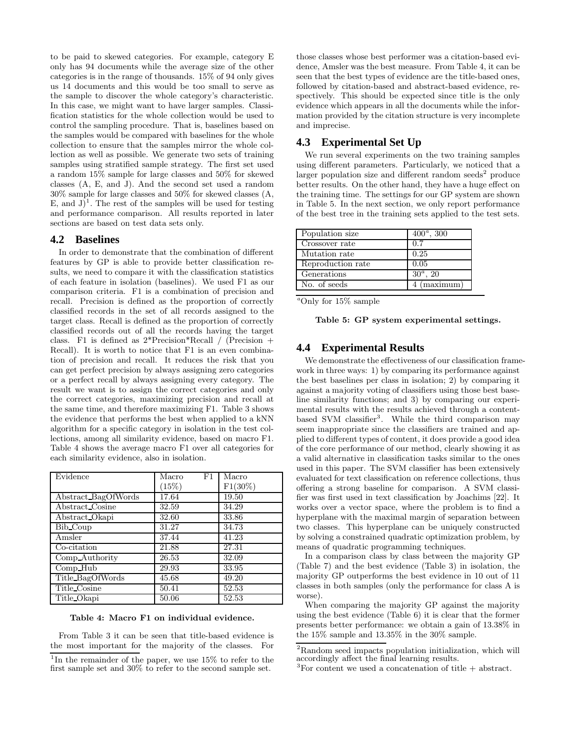to be paid to skewed categories. For example, category E only has 94 documents while the average size of the other categories is in the range of thousands. 15% of 94 only gives us 14 documents and this would be too small to serve as the sample to discover the whole category's characteristic. In this case, we might want to have larger samples. Classification statistics for the whole collection would be used to control the sampling procedure. That is, baselines based on the samples would be compared with baselines for the whole collection to ensure that the samples mirror the whole collection as well as possible. We generate two sets of training samples using stratified sample strategy. The first set used a random 15% sample for large classes and 50% for skewed classes (A, E, and J). And the second set used a random 30% sample for large classes and 50% for skewed classes (A, E, and  $J$ <sup>1</sup>. The rest of the samples will be used for testing and performance comparison. All results reported in later sections are based on test data sets only.

### **4.2 Baselines**

In order to demonstrate that the combination of different features by GP is able to provide better classification results, we need to compare it with the classification statistics of each feature in isolation (baselines). We used F1 as our comparison criteria. F1 is a combination of precision and recall. Precision is defined as the proportion of correctly classified records in the set of all records assigned to the target class. Recall is defined as the proportion of correctly classified records out of all the records having the target class. F1 is defined as  $2*Precision*Recall / (Precision +$ Recall). It is worth to notice that F1 is an even combination of precision and recall. It reduces the risk that you can get perfect precision by always assigning zero categories or a perfect recall by always assigning every category. The result we want is to assign the correct categories and only the correct categories, maximizing precision and recall at the same time, and therefore maximizing F1. Table 3 shows the evidence that performs the best when applied to a kNN algorithm for a specific category in isolation in the test collections, among all similarity evidence, based on macro F1. Table 4 shows the average macro F1 over all categories for each similarity evidence, also in isolation.

| Evidence            | Macro<br>F1 | Macro      |
|---------------------|-------------|------------|
|                     | (15%)       | $F1(30\%)$ |
| Abstract_BagOfWords | 17.64       | 19.50      |
| Abstract Cosine     | 32.59       | 34.29      |
| Abstract_Okapi      | 32.60       | 33.86      |
| Bib Coup            | 31.27       | 34.73      |
| Amsler              | 37.44       | 41.23      |
| Co-citation         | 21.88       | 27.31      |
| Comp_Authority      | 26.53       | 32.09      |
| Comp_Hub            | 29.93       | 33.95      |
| Title_BagOfWords    | 45.68       | 49.20      |
| Title Cosine        | 50.41       | 52.53      |
| Title_Okapi         | 50.06       | 52.53      |

#### Table 4: Macro F1 on individual evidence.

From Table 3 it can be seen that title-based evidence is the most important for the majority of the classes. For those classes whose best performer was a citation-based evidence, Amsler was the best measure. From Table 4, it can be seen that the best types of evidence are the title-based ones, followed by citation-based and abstract-based evidence, respectively. This should be expected since title is the only evidence which appears in all the documents while the information provided by the citation structure is very incomplete and imprecise.

# **4.3 Experimental Set Up**

We run several experiments on the two training samples using different parameters. Particularly, we noticed that a larger population size and different random seeds<sup>2</sup> produce better results. On the other hand, they have a huge effect on the training time. The settings for our GP system are shown in Table 5. In the next section, we only report performance of the best tree in the training sets applied to the test sets.

| Population size    | $400^a$ , 300 |
|--------------------|---------------|
| Crossover rate     | 0.7           |
| Mutation rate      | 0.25          |
| Reproduction rate  | 0.05          |
| <b>Generations</b> | $30^a$ , 20   |
| l No. of seeds     | 4 (maximum)   |

|  | $^a$ Only for 15% sample |
|--|--------------------------|
|  |                          |

|  |  |  | Table 5: GP system experimental settings. |  |
|--|--|--|-------------------------------------------|--|
|--|--|--|-------------------------------------------|--|

### **4.4 Experimental Results**

We demonstrate the effectiveness of our classification framework in three ways: 1) by comparing its performance against the best baselines per class in isolation; 2) by comparing it against a majority voting of classifiers using those best baseline similarity functions; and 3) by comparing our experimental results with the results achieved through a contentbased SVM classifier<sup>3</sup>. While the third comparison may seem inappropriate since the classifiers are trained and applied to different types of content, it does provide a good idea of the core performance of our method, clearly showing it as a valid alternative in classification tasks similar to the ones used in this paper. The SVM classifier has been extensively evaluated for text classification on reference collections, thus offering a strong baseline for comparison. A SVM classifier was first used in text classification by Joachims [22]. It works over a vector space, where the problem is to find a hyperplane with the maximal margin of separation between two classes. This hyperplane can be uniquely constructed by solving a constrained quadratic optimization problem, by means of quadratic programming techniques.

In a comparison class by class between the majority GP (Table 7) and the best evidence (Table 3) in isolation, the majority GP outperforms the best evidence in 10 out of 11 classes in both samples (only the performance for class A is worse).

When comparing the majority GP against the majority using the best evidence (Table 6) it is clear that the former presents better performance: we obtain a gain of 13.38% in the 15% sample and 13.35% in the 30% sample.

<sup>&</sup>lt;sup>1</sup>In the remainder of the paper, we use 15% to refer to the first sample set and 30% to refer to the second sample set.

<sup>2</sup>Random seed impacts population initialization, which will accordingly affect the final learning results.

 ${}^{3}$ For content we used a concatenation of title + abstract.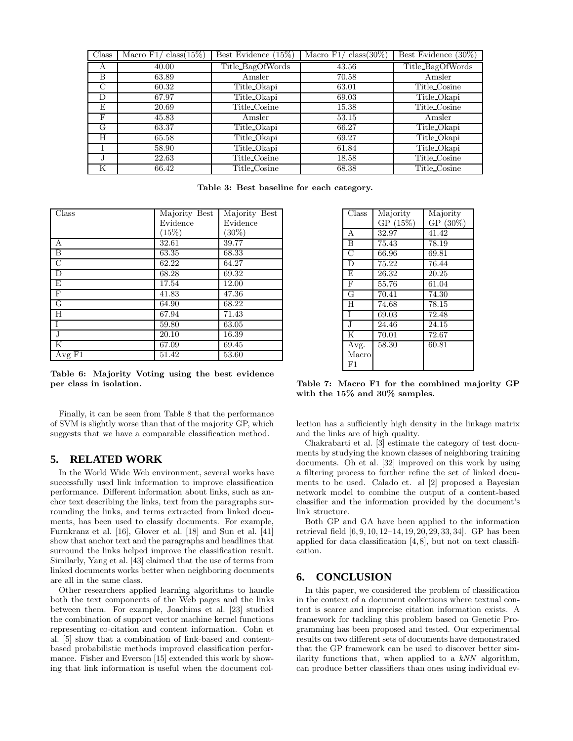| Class         | $class(15\%)$<br>Macro $F1/$ | Best Evidence $(15\%)$ | $class(30\%)$<br>Macro $F1/$ | Best Evidence $(30\%)$ |
|---------------|------------------------------|------------------------|------------------------------|------------------------|
| A             | 40.00                        | Title_BagOfWords       | 43.56                        | Title_BagOfWords       |
| B             | 63.89                        | Amsler                 | 70.58                        | Amsler                 |
| $\mathcal{C}$ | 60.32                        | Title_Okapi            | 63.01                        | Title Cosine           |
| D             | 67.97                        | Title_Okapi            | 69.03                        | Title_Okapi            |
| F.            | 20.69                        | Title Cosine           | 15.38                        | Title Cosine           |
| $_{\rm F}$    | 45.83                        | Amsler                 | 53.15                        | Amsler                 |
| G             | 63.37                        | Title_Okapi            | 66.27                        | Title_Okapi            |
| H             | 65.58                        | Title_Okapi            | 69.27                        | Title_Okapi            |
|               | 58.90                        | Title Okapi            | 61.84                        | Title Okapi            |
| ٠,            | 22.63                        | Title Cosine           | 18.58                        | Title Cosine           |
| K             | 66.42                        | Title Cosine           | 68.38                        | Title Cosine           |

Table 3: Best baseline for each category.

| $\overline{\mathrm{Class}}$ | Majority Best | Majority Best |
|-----------------------------|---------------|---------------|
|                             | Evidence      | Evidence      |
|                             | (15%)         | $(30\%)$      |
| А                           | 32.61         | 39.77         |
| $\overline{B}$              | 63.35         | 68.33         |
| $\overline{C}$              | 62.22         | 64.27         |
| $\overline{D}$              | 68.28         | 69.32         |
| Ε                           | 17.54         | 12.00         |
| $\overline{\mathrm{F}}$     | 41.83         | 47.36         |
| $\overline{G}$              | 64.90         | 68.22         |
| H                           | 67.94         | 71.43         |
| I                           | 59.80         | 63.05         |
| $\overline{\mathbf{J}}$     | 20.10         | 16.39         |
| $\overline{\mathrm{K}}$     | 67.09         | 69.45         |
| Avg $F1$                    | 51.42         | 53.60         |

Table 6: Majority Voting using the best evidence per class in isolation.

Finally, it can be seen from Table 8 that the performance of SVM is slightly worse than that of the majority GP, which suggests that we have a comparable classification method.

### **5. RELATED WORK**

In the World Wide Web environment, several works have successfully used link information to improve classification performance. Different information about links, such as anchor text describing the links, text from the paragraphs surrounding the links, and terms extracted from linked documents, has been used to classify documents. For example, Furnkranz et al. [16], Glover et al. [18] and Sun et al. [41] show that anchor text and the paragraphs and headlines that surround the links helped improve the classification result. Similarly, Yang et al. [43] claimed that the use of terms from linked documents works better when neighboring documents are all in the same class.

Other researchers applied learning algorithms to handle both the text components of the Web pages and the links between them. For example, Joachims et al. [23] studied the combination of support vector machine kernel functions representing co-citation and content information. Cohn et al. [5] show that a combination of link-based and contentbased probabilistic methods improved classification performance. Fisher and Everson [15] extended this work by showing that link information is useful when the document col-

| Class                   | Majority | Majority |
|-------------------------|----------|----------|
|                         | GP(15%)  | GP (30%) |
| A                       | 32.97    | 41.42    |
| $\overline{\mathbf{B}}$ | 75.43    | 78.19    |
| C                       | 66.96    | 69.81    |
| $\overline{D}$          | 75.22    | 76.44    |
| E                       | 26.32    | 20.25    |
| $\overline{\mathrm{F}}$ | 55.76    | 61.04    |
| G                       | 70.41    | 74.30    |
| Ħ                       | 74.68    | 78.15    |
| T                       | 69.03    | 72.48    |
| $\overline{\text{J}}$   | 24.46    | 24.15    |
| K                       | 70.01    | 72.67    |
| Avg.                    | 58.30    | 60.81    |
| Macro                   |          |          |
| F1                      |          |          |

Table 7: Macro F1 for the combined majority GP with the 15% and 30% samples.

lection has a sufficiently high density in the linkage matrix and the links are of high quality.

Chakrabarti et al. [3] estimate the category of test documents by studying the known classes of neighboring training documents. Oh et al. [32] improved on this work by using a filtering process to further refine the set of linked documents to be used. Calado et. al [2] proposed a Bayesian network model to combine the output of a content-based classifier and the information provided by the document's link structure.

Both GP and GA have been applied to the information retrieval field [6, 9, 10, 12–14, 19, 20, 29, 33, 34]. GP has been applied for data classification  $[4, 8]$ , but not on text classification.

# **6. CONCLUSION**

In this paper, we considered the problem of classification in the context of a document collections where textual content is scarce and imprecise citation information exists. A framework for tackling this problem based on Genetic Programming has been proposed and tested. Our experimental results on two different sets of documents have demonstrated that the GP framework can be used to discover better similarity functions that, when applied to a  $kNN$  algorithm, can produce better classifiers than ones using individual ev-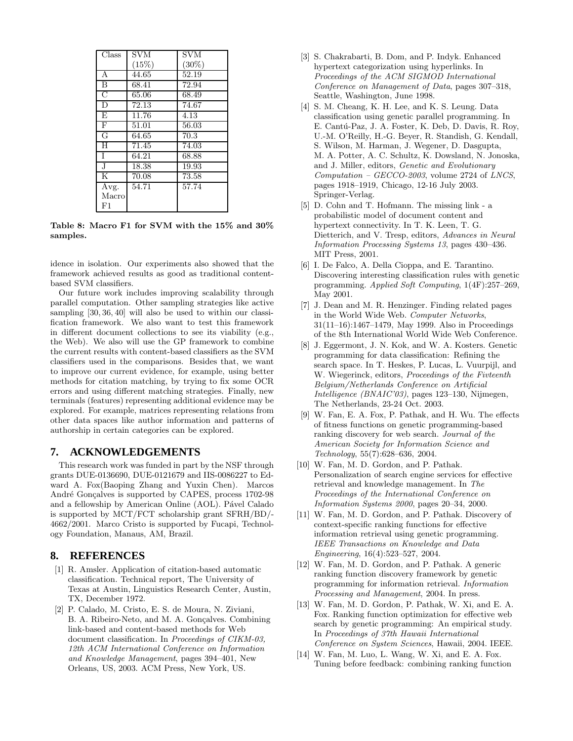| Class                 | SVM   | <b>SVM</b> |
|-----------------------|-------|------------|
|                       | (15%) | $(30\%)$   |
| A                     | 44.65 | 52.19      |
| $\overline{B}$        | 68.41 | 72.94      |
| $\overline{C}$        | 65.06 | 68.49      |
| $\overline{D}$        | 72.13 | 74.67      |
| E                     | 11.76 | 4.13       |
| $\overline{F}$        | 51.01 | 56.03      |
| G                     | 64.65 | 70.3       |
| Η                     | 71.45 | 74.03      |
| T                     | 64.21 | 68.88      |
| $\overline{\text{J}}$ | 18.38 | 19.93      |
| K                     | 70.08 | 73.58      |
| Avg.                  | 54.71 | 57.74      |
| Macro                 |       |            |
| F1                    |       |            |

Table 8: Macro F1 for SVM with the 15% and 30% samples.

idence in isolation. Our experiments also showed that the framework achieved results as good as traditional contentbased SVM classifiers.

Our future work includes improving scalability through parallel computation. Other sampling strategies like active sampling [30, 36, 40] will also be used to within our classification framework. We also want to test this framework in different document collections to see its viability (e.g., the Web). We also will use the GP framework to combine the current results with content-based classifiers as the SVM classifiers used in the comparisons. Besides that, we want to improve our current evidence, for example, using better methods for citation matching, by trying to fix some OCR errors and using different matching strategies. Finally, new terminals (features) representing additional evidence may be explored. For example, matrices representing relations from other data spaces like author information and patterns of authorship in certain categories can be explored.

# **7. ACKNOWLEDGEMENTS**

This research work was funded in part by the NSF through grants DUE-0136690, DUE-0121679 and IIS-0086227 to Edward A. Fox(Baoping Zhang and Yuxin Chen). Marcos André Gonçalves is supported by CAPES, process 1702-98 and a fellowship by American Online (AOL). Pável Calado is supported by MCT/FCT scholarship grant SFRH/BD/- 4662/2001. Marco Cristo is supported by Fucapi, Technology Foundation, Manaus, AM, Brazil.

# **8. REFERENCES**

- [1] R. Amsler. Application of citation-based automatic classification. Technical report, The University of Texas at Austin, Linguistics Research Center, Austin, TX, December 1972.
- [2] P. Calado, M. Cristo, E. S. de Moura, N. Ziviani, B. A. Ribeiro-Neto, and M. A. Gonçalves. Combining link-based and content-based methods for Web document classification. In Proceedings of CIKM-03, 12th ACM International Conference on Information and Knowledge Management, pages 394–401, New Orleans, US, 2003. ACM Press, New York, US.
- [3] S. Chakrabarti, B. Dom, and P. Indyk. Enhanced hypertext categorization using hyperlinks. In Proceedings of the ACM SIGMOD International Conference on Management of Data, pages 307–318, Seattle, Washington, June 1998.
- [4] S. M. Cheang, K. H. Lee, and K. S. Leung. Data classification using genetic parallel programming. In E. Cantú-Paz, J. A. Foster, K. Deb, D. Davis, R. Roy, U.-M. O'Reilly, H.-G. Beyer, R. Standish, G. Kendall, S. Wilson, M. Harman, J. Wegener, D. Dasgupta, M. A. Potter, A. C. Schultz, K. Dowsland, N. Jonoska, and J. Miller, editors, Genetic and Evolutionary  $Computation - GEOCO-2003$ , volume 2724 of *LNCS*, pages 1918–1919, Chicago, 12-16 July 2003. Springer-Verlag.
- [5] D. Cohn and T. Hofmann. The missing link a probabilistic model of document content and hypertext connectivity. In T. K. Leen, T. G. Dietterich, and V. Tresp, editors, Advances in Neural Information Processing Systems 13, pages 430–436. MIT Press, 2001.
- [6] I. De Falco, A. Della Cioppa, and E. Tarantino. Discovering interesting classification rules with genetic programming. Applied Soft Computing, 1(4F):257–269, May 2001.
- [7] J. Dean and M. R. Henzinger. Finding related pages in the World Wide Web. Computer Networks, 31(11–16):1467–1479, May 1999. Also in Proceedings of the 8th International World Wide Web Conference.
- [8] J. Eggermont, J. N. Kok, and W. A. Kosters. Genetic programming for data classification: Refining the search space. In T. Heskes, P. Lucas, L. Vuurpijl, and W. Wiegerinck, editors, Proceedings of the Fivteenth Belgium/Netherlands Conference on Artificial Intelligence (BNAIC'03), pages 123–130, Nijmegen, The Netherlands, 23-24 Oct. 2003.
- [9] W. Fan, E. A. Fox, P. Pathak, and H. Wu. The effects of fitness functions on genetic programming-based ranking discovery for web search. Journal of the American Society for Information Science and Technology, 55(7):628–636, 2004.
- [10] W. Fan, M. D. Gordon, and P. Pathak. Personalization of search engine services for effective retrieval and knowledge management. In The Proceedings of the International Conference on Information Systems 2000, pages 20–34, 2000.
- [11] W. Fan, M. D. Gordon, and P. Pathak. Discovery of context-specific ranking functions for effective information retrieval using genetic programming. IEEE Transactions on Knowledge and Data Engineering, 16(4):523–527, 2004.
- [12] W. Fan, M. D. Gordon, and P. Pathak. A generic ranking function discovery framework by genetic programming for information retrieval. Information Processing and Management, 2004. In press.
- [13] W. Fan, M. D. Gordon, P. Pathak, W. Xi, and E. A. Fox. Ranking function optimization for effective web search by genetic programming: An empirical study. In Proceedings of 37th Hawaii International Conference on System Sciences, Hawaii, 2004. IEEE.
- [14] W. Fan, M. Luo, L. Wang, W. Xi, and E. A. Fox. Tuning before feedback: combining ranking function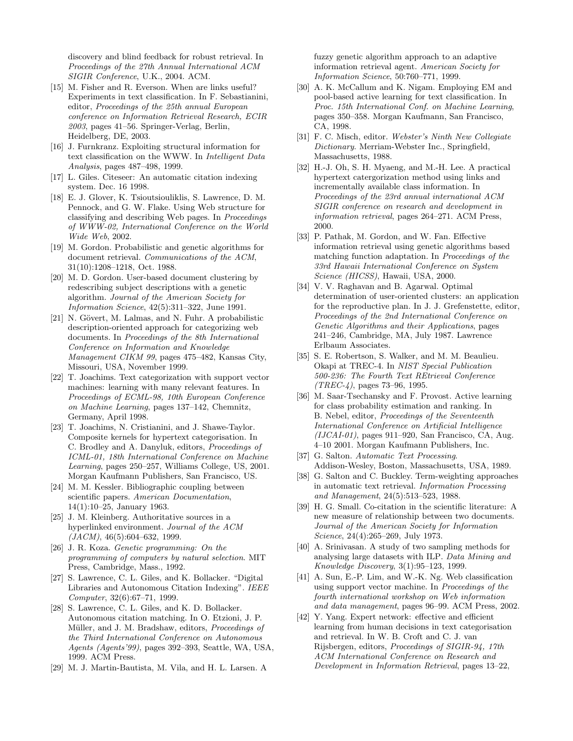discovery and blind feedback for robust retrieval. In Proceedings of the 27th Annual International ACM SIGIR Conference, U.K., 2004. ACM.

- [15] M. Fisher and R. Everson. When are links useful? Experiments in text classification. In F. Sebastianini, editor, Proceedings of the 25th annual European conference on Information Retrieval Research, ECIR 2003, pages 41–56. Springer-Verlag, Berlin, Heidelberg, DE, 2003.
- [16] J. Furnkranz. Exploiting structural information for text classification on the WWW. In Intelligent Data Analysis, pages 487–498, 1999.
- [17] L. Giles. Citeseer: An automatic citation indexing system. Dec. 16 1998.
- [18] E. J. Glover, K. Tsioutsiouliklis, S. Lawrence, D. M. Pennock, and G. W. Flake. Using Web structure for classifying and describing Web pages. In Proceedings of WWW-02, International Conference on the World Wide Web, 2002.
- [19] M. Gordon. Probabilistic and genetic algorithms for document retrieval. Communications of the ACM, 31(10):1208–1218, Oct. 1988.
- [20] M. D. Gordon. User-based document clustering by redescribing subject descriptions with a genetic algorithm. Journal of the American Society for Information Science, 42(5):311–322, June 1991.
- [21] N. Gövert, M. Lalmas, and N. Fuhr. A probabilistic description-oriented approach for categorizing web documents. In Proceedings of the 8th International Conference on Information and Knowledge Management CIKM 99, pages 475–482, Kansas City, Missouri, USA, November 1999.
- [22] T. Joachims. Text categorization with support vector machines: learning with many relevant features. In Proceedings of ECML-98, 10th European Conference on Machine Learning, pages 137–142, Chemnitz, Germany, April 1998.
- [23] T. Joachims, N. Cristianini, and J. Shawe-Taylor. Composite kernels for hypertext categorisation. In C. Brodley and A. Danyluk, editors, Proceedings of ICML-01, 18th International Conference on Machine Learning, pages 250–257, Williams College, US, 2001. Morgan Kaufmann Publishers, San Francisco, US.
- [24] M. M. Kessler. Bibliographic coupling between scientific papers. American Documentation, 14(1):10–25, January 1963.
- [25] J. M. Kleinberg. Authoritative sources in a hyperlinked environment. Journal of the ACM  $(JACM)$ , 46(5):604–632, 1999.
- [26] J. R. Koza. Genetic programming: On the programming of computers by natural selection. MIT Press, Cambridge, Mass., 1992.
- [27] S. Lawrence, C. L. Giles, and K. Bollacker. "Digital Libraries and Autonomous Citation Indexing". IEEE Computer, 32(6):67–71, 1999.
- [28] S. Lawrence, C. L. Giles, and K. D. Bollacker. Autonomous citation matching. In O. Etzioni, J. P. Müller, and J. M. Bradshaw, editors, Proceedings of the Third International Conference on Autonomous Agents (Agents'99), pages 392–393, Seattle, WA, USA, 1999. ACM Press.
- [29] M. J. Martin-Bautista, M. Vila, and H. L. Larsen. A

fuzzy genetic algorithm approach to an adaptive information retrieval agent. American Society for Information Science, 50:760–771, 1999.

- [30] A. K. McCallum and K. Nigam. Employing EM and pool-based active learning for text classification. In Proc. 15th International Conf. on Machine Learning, pages 350–358. Morgan Kaufmann, San Francisco, CA, 1998.
- [31] F. C. Misch, editor. Webster's Ninth New Collegiate Dictionary. Merriam-Webster Inc., Springfield, Massachusetts, 1988.
- [32] H.-J. Oh, S. H. Myaeng, and M.-H. Lee. A practical hypertext catergorization method using links and incrementally available class information. In Proceedings of the 23rd annual international ACM SIGIR conference on research and development in information retrieval, pages 264–271. ACM Press, 2000.
- [33] P. Pathak, M. Gordon, and W. Fan. Effective information retrieval using genetic algorithms based matching function adaptation. In Proceedings of the 33rd Hawaii International Conference on System Science (HICSS), Hawaii, USA, 2000.
- [34] V. V. Raghavan and B. Agarwal. Optimal determination of user-oriented clusters: an application for the reproductive plan. In J. J. Grefenstette, editor, Proceedings of the 2nd International Conference on Genetic Algorithms and their Applications, pages 241–246, Cambridge, MA, July 1987. Lawrence Erlbaum Associates.
- [35] S. E. Robertson, S. Walker, and M. M. Beaulieu. Okapi at TREC-4. In NIST Special Publication 500-236: The Fourth Text REtrieval Conference  $(TREC-4)$ , pages 73–96, 1995.
- [36] M. Saar-Tsechansky and F. Provost. Active learning for class probability estimation and ranking. In B. Nebel, editor, Proceedings of the Seventeenth International Conference on Artificial Intelligence  $(IJCAI-01)$ , pages 911–920, San Francisco, CA, Aug. 4–10 2001. Morgan Kaufmann Publishers, Inc.
- [37] G. Salton. Automatic Text Processing. Addison-Wesley, Boston, Massachusetts, USA, 1989.
- [38] G. Salton and C. Buckley. Term-weighting approaches in automatic text retrieval. Information Processing and Management, 24(5):513–523, 1988.
- [39] H. G. Small. Co-citation in the scientific literature: A new measure of relationship between two documents. Journal of the American Society for Information Science, 24(4):265–269, July 1973.
- [40] A. Srinivasan. A study of two sampling methods for analysing large datasets with ILP. Data Mining and Knowledge Discovery, 3(1):95–123, 1999.
- [41] A. Sun, E.-P. Lim, and W.-K. Ng. Web classification using support vector machine. In Proceedings of the fourth international workshop on Web information and data management, pages 96–99. ACM Press, 2002.
- [42] Y. Yang. Expert network: effective and efficient learning from human decisions in text categorisation and retrieval. In W. B. Croft and C. J. van Rijsbergen, editors, Proceedings of SIGIR-94, 17th ACM International Conference on Research and Development in Information Retrieval, pages 13–22,